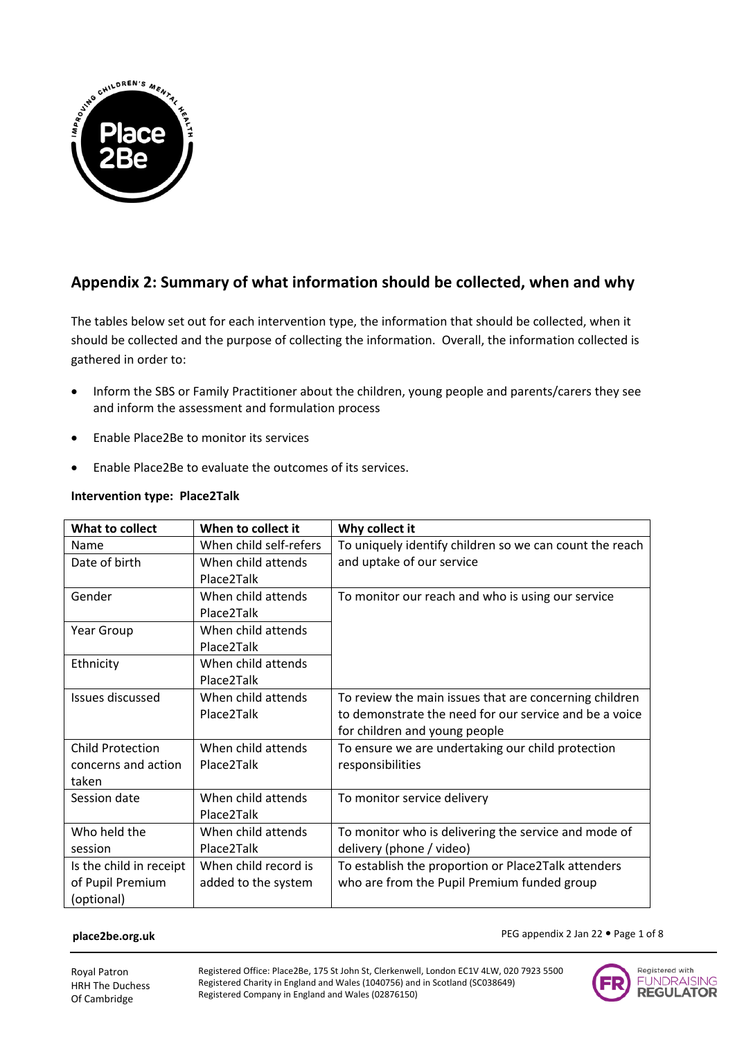

# **Appendix 2: Summary of what information should be collected, when and why**

The tables below set out for each intervention type, the information that should be collected, when it should be collected and the purpose of collecting the information. Overall, the information collected is gathered in order to:

- Inform the SBS or Family Practitioner about the children, young people and parents/carers they see and inform the assessment and formulation process
- Enable Place2Be to monitor its services
- Enable Place2Be to evaluate the outcomes of its services.

| What to collect         | When to collect it     | Why collect it                                          |
|-------------------------|------------------------|---------------------------------------------------------|
| Name                    | When child self-refers | To uniquely identify children so we can count the reach |
| Date of birth           | When child attends     | and uptake of our service                               |
|                         | Place2Talk             |                                                         |
| Gender                  | When child attends     | To monitor our reach and who is using our service       |
|                         | Place2Talk             |                                                         |
| Year Group              | When child attends     |                                                         |
|                         | Place2Talk             |                                                         |
| Ethnicity               | When child attends     |                                                         |
|                         | Place2Talk             |                                                         |
| Issues discussed        | When child attends     | To review the main issues that are concerning children  |
|                         | Place2Talk             | to demonstrate the need for our service and be a voice  |
|                         |                        | for children and young people                           |
| <b>Child Protection</b> | When child attends     | To ensure we are undertaking our child protection       |
| concerns and action     | Place2Talk             | responsibilities                                        |
| taken                   |                        |                                                         |
| Session date            | When child attends     | To monitor service delivery                             |
|                         | Place2Talk             |                                                         |
| Who held the            | When child attends     | To monitor who is delivering the service and mode of    |
| session                 | Place2Talk             | delivery (phone / video)                                |
| Is the child in receipt | When child record is   | To establish the proportion or Place2Talk attenders     |
| of Pupil Premium        | added to the system    | who are from the Pupil Premium funded group             |
| (optional)              |                        |                                                         |

# **Intervention type: Place2Talk**

#### **place2be.org.uk**

PEG appendix 2 Jan 22 · Page 1 of 8

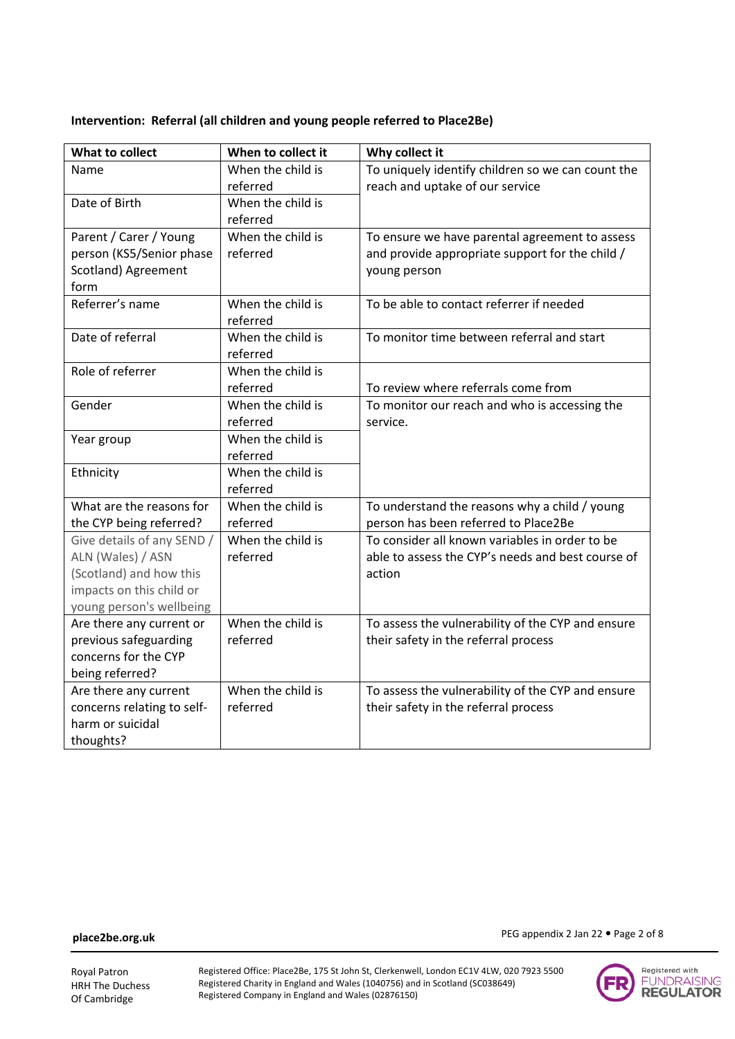### **Intervention: Referral (all children and young people referred to Place2Be)**

| What to collect                                | When to collect it            | Why collect it                                    |
|------------------------------------------------|-------------------------------|---------------------------------------------------|
| Name                                           | When the child is             | To uniquely identify children so we can count the |
|                                                | referred                      | reach and uptake of our service                   |
| Date of Birth                                  | When the child is             |                                                   |
|                                                | referred                      |                                                   |
| Parent / Carer / Young                         | When the child is             | To ensure we have parental agreement to assess    |
| person (KS5/Senior phase                       | referred                      | and provide appropriate support for the child /   |
| Scotland) Agreement                            |                               | young person                                      |
| form                                           |                               |                                                   |
| Referrer's name                                | When the child is             | To be able to contact referrer if needed          |
|                                                | referred                      |                                                   |
| Date of referral                               | When the child is             | To monitor time between referral and start        |
|                                                | referred                      |                                                   |
| Role of referrer                               | When the child is             |                                                   |
|                                                | referred                      | To review where referrals come from               |
| Gender                                         | When the child is             | To monitor our reach and who is accessing the     |
|                                                | referred                      | service.                                          |
| Year group                                     | When the child is             |                                                   |
|                                                | referred                      |                                                   |
| Ethnicity                                      | When the child is             |                                                   |
|                                                | referred                      |                                                   |
| What are the reasons for                       | When the child is             | To understand the reasons why a child / young     |
| the CYP being referred?                        | referred                      | person has been referred to Place2Be              |
| Give details of any SEND /                     | When the child is             | To consider all known variables in order to be    |
| ALN (Wales) / ASN                              | referred                      | able to assess the CYP's needs and best course of |
| (Scotland) and how this                        |                               | action                                            |
| impacts on this child or                       |                               |                                                   |
| young person's wellbeing                       |                               |                                                   |
| Are there any current or                       | When the child is             | To assess the vulnerability of the CYP and ensure |
| previous safeguarding                          | referred                      | their safety in the referral process              |
| concerns for the CYP                           |                               |                                                   |
| being referred?                                |                               |                                                   |
| Are there any current                          | When the child is<br>referred | To assess the vulnerability of the CYP and ensure |
| concerns relating to self-<br>harm or suicidal |                               | their safety in the referral process              |
|                                                |                               |                                                   |
| thoughts?                                      |                               |                                                   |

PEG appendix 2 Jan 22 · Page 2 of 8

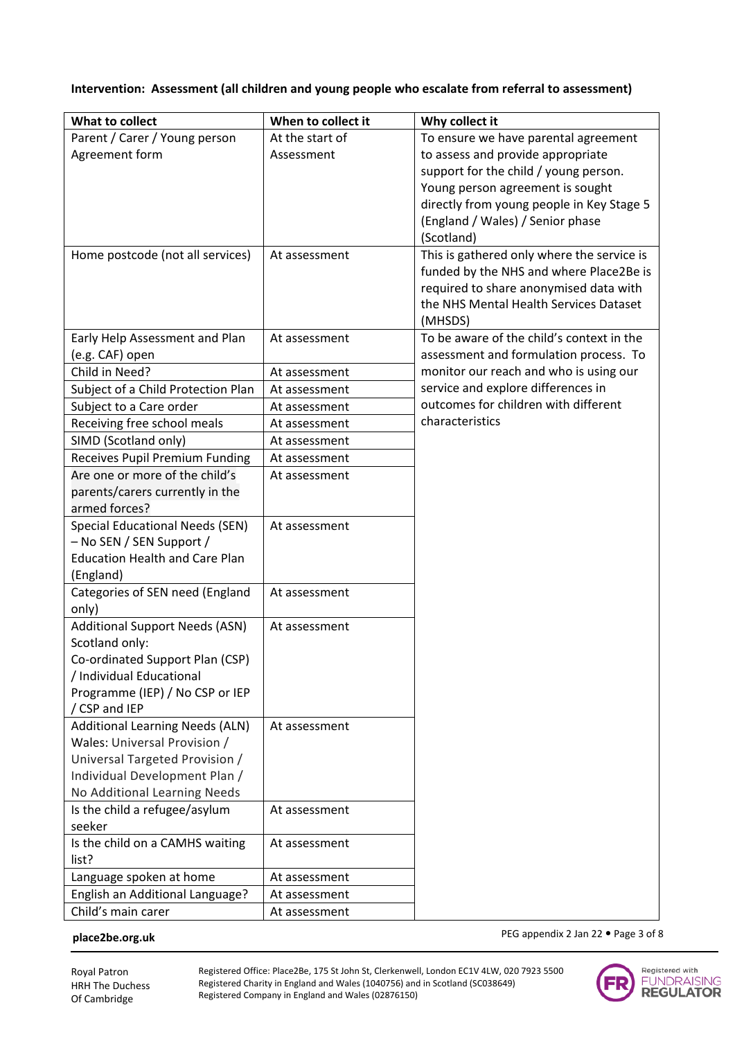# **Intervention: Assessment (all children and young people who escalate from referral to assessment)**

| What to collect                                                         | When to collect it | Why collect it                                                                   |
|-------------------------------------------------------------------------|--------------------|----------------------------------------------------------------------------------|
| Parent / Carer / Young person                                           | At the start of    | To ensure we have parental agreement                                             |
| Agreement form                                                          | Assessment         | to assess and provide appropriate                                                |
|                                                                         |                    | support for the child / young person.                                            |
|                                                                         |                    | Young person agreement is sought                                                 |
|                                                                         |                    | directly from young people in Key Stage 5                                        |
|                                                                         |                    | (England / Wales) / Senior phase                                                 |
|                                                                         |                    | (Scotland)                                                                       |
| Home postcode (not all services)                                        | At assessment      | This is gathered only where the service is                                       |
|                                                                         |                    | funded by the NHS and where Place2Be is                                          |
|                                                                         |                    | required to share anonymised data with                                           |
|                                                                         |                    | the NHS Mental Health Services Dataset                                           |
|                                                                         |                    | (MHSDS)                                                                          |
| Early Help Assessment and Plan                                          | At assessment      | To be aware of the child's context in the                                        |
| (e.g. CAF) open<br>Child in Need?                                       |                    | assessment and formulation process. To<br>monitor our reach and who is using our |
|                                                                         | At assessment      | service and explore differences in                                               |
| Subject of a Child Protection Plan                                      | At assessment      | outcomes for children with different                                             |
| Subject to a Care order<br>Receiving free school meals                  | At assessment      | characteristics                                                                  |
| SIMD (Scotland only)                                                    | At assessment      |                                                                                  |
|                                                                         | At assessment      |                                                                                  |
| <b>Receives Pupil Premium Funding</b><br>Are one or more of the child's | At assessment      |                                                                                  |
| parents/carers currently in the                                         | At assessment      |                                                                                  |
| armed forces?                                                           |                    |                                                                                  |
| Special Educational Needs (SEN)                                         | At assessment      |                                                                                  |
| - No SEN / SEN Support /                                                |                    |                                                                                  |
| <b>Education Health and Care Plan</b>                                   |                    |                                                                                  |
| (England)                                                               |                    |                                                                                  |
| Categories of SEN need (England                                         | At assessment      |                                                                                  |
| only)                                                                   |                    |                                                                                  |
| <b>Additional Support Needs (ASN)</b>                                   | At assessment      |                                                                                  |
| Scotland only:                                                          |                    |                                                                                  |
| Co-ordinated Support Plan (CSP)                                         |                    |                                                                                  |
| / Individual Educational                                                |                    |                                                                                  |
| Programme (IEP) / No CSP or IEP                                         |                    |                                                                                  |
| / CSP and IEP                                                           |                    |                                                                                  |
| <b>Additional Learning Needs (ALN)</b>                                  | At assessment      |                                                                                  |
| Wales: Universal Provision /                                            |                    |                                                                                  |
| Universal Targeted Provision /                                          |                    |                                                                                  |
| Individual Development Plan /                                           |                    |                                                                                  |
| No Additional Learning Needs                                            |                    |                                                                                  |
| Is the child a refugee/asylum<br>seeker                                 | At assessment      |                                                                                  |
| Is the child on a CAMHS waiting                                         | At assessment      |                                                                                  |
| list?                                                                   |                    |                                                                                  |
| Language spoken at home                                                 | At assessment      |                                                                                  |
| English an Additional Language?                                         | At assessment      |                                                                                  |
| Child's main carer                                                      | At assessment      |                                                                                  |

### **place2be.org.uk**

PEG appendix 2 Jan 22 · Page 3 of 8

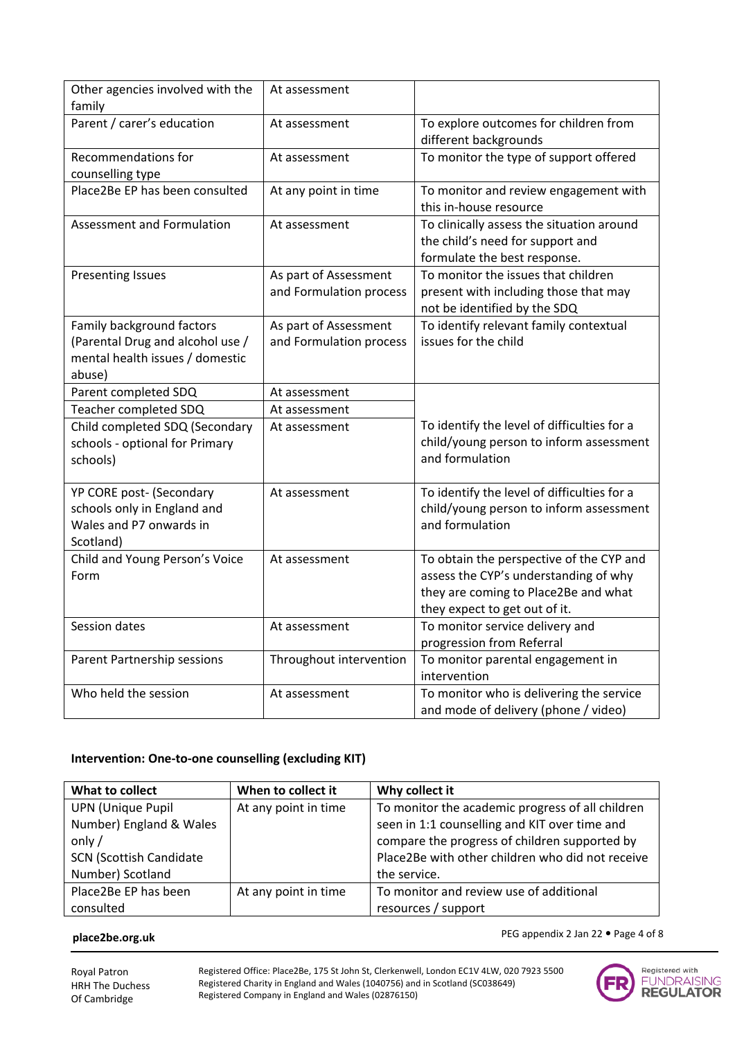| Other agencies involved with the<br>family                                                                 | At assessment                                    |                                                                                                                                                            |
|------------------------------------------------------------------------------------------------------------|--------------------------------------------------|------------------------------------------------------------------------------------------------------------------------------------------------------------|
| Parent / carer's education                                                                                 | At assessment                                    | To explore outcomes for children from<br>different backgrounds                                                                                             |
| <b>Recommendations for</b><br>counselling type                                                             | At assessment                                    | To monitor the type of support offered                                                                                                                     |
| Place2Be EP has been consulted                                                                             | At any point in time                             | To monitor and review engagement with<br>this in-house resource                                                                                            |
| Assessment and Formulation                                                                                 | At assessment                                    | To clinically assess the situation around<br>the child's need for support and<br>formulate the best response.                                              |
| <b>Presenting Issues</b>                                                                                   | As part of Assessment<br>and Formulation process | To monitor the issues that children<br>present with including those that may<br>not be identified by the SDQ                                               |
| Family background factors<br>(Parental Drug and alcohol use /<br>mental health issues / domestic<br>abuse) | As part of Assessment<br>and Formulation process | To identify relevant family contextual<br>issues for the child                                                                                             |
| Parent completed SDQ                                                                                       | At assessment                                    |                                                                                                                                                            |
| Teacher completed SDQ                                                                                      | At assessment                                    |                                                                                                                                                            |
| Child completed SDQ (Secondary<br>schools - optional for Primary<br>schools)                               | At assessment                                    | To identify the level of difficulties for a<br>child/young person to inform assessment<br>and formulation                                                  |
| YP CORE post- (Secondary<br>schools only in England and<br>Wales and P7 onwards in<br>Scotland)            | At assessment                                    | To identify the level of difficulties for a<br>child/young person to inform assessment<br>and formulation                                                  |
| Child and Young Person's Voice<br>Form                                                                     | At assessment                                    | To obtain the perspective of the CYP and<br>assess the CYP's understanding of why<br>they are coming to Place2Be and what<br>they expect to get out of it. |
| Session dates                                                                                              | At assessment                                    | To monitor service delivery and<br>progression from Referral                                                                                               |
| Parent Partnership sessions                                                                                | Throughout intervention                          | To monitor parental engagement in<br>intervention                                                                                                          |
| Who held the session                                                                                       | At assessment                                    | To monitor who is delivering the service<br>and mode of delivery (phone / video)                                                                           |

# **Intervention: One-to-one counselling (excluding KIT)**

| What to collect                | When to collect it   | Why collect it                                   |
|--------------------------------|----------------------|--------------------------------------------------|
| <b>UPN (Unique Pupil</b>       | At any point in time | To monitor the academic progress of all children |
| Number) England & Wales        |                      | seen in 1:1 counselling and KIT over time and    |
| only $/$                       |                      | compare the progress of children supported by    |
| <b>SCN (Scottish Candidate</b> |                      | Place2Be with other children who did not receive |
| Number) Scotland               |                      | the service.                                     |
| Place2Be EP has been           | At any point in time | To monitor and review use of additional          |
| consulted                      |                      | resources / support                              |

#### **place2be.org.uk**



PEG appendix 2 Jan 22 · Page 4 of 8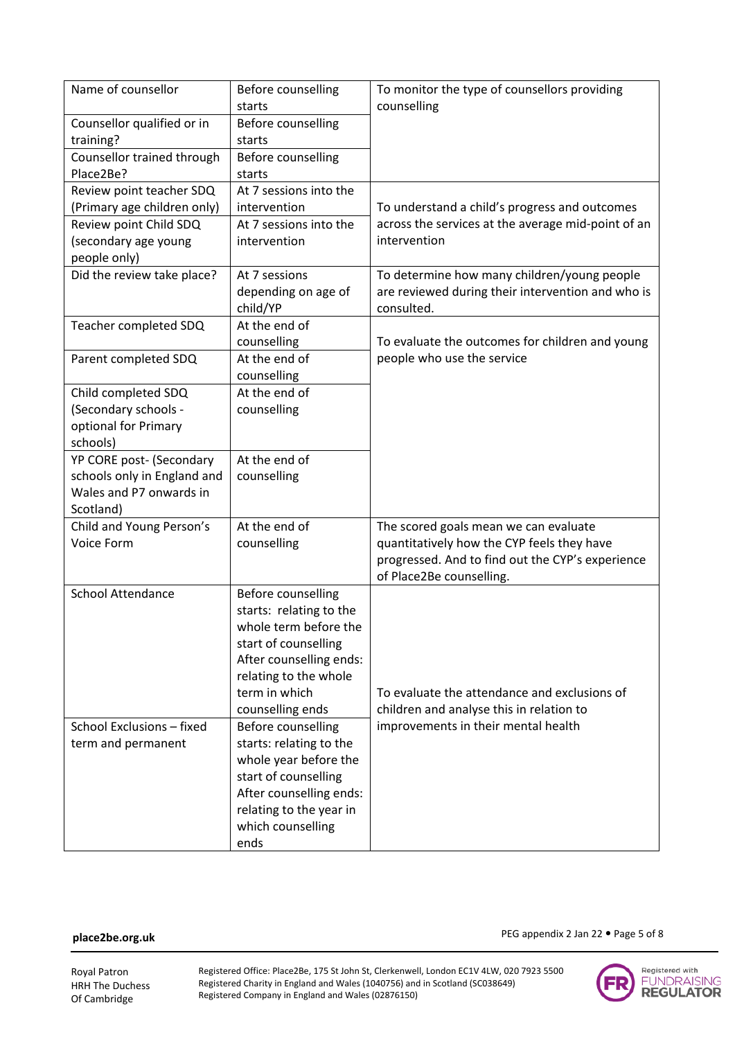| Name of counsellor                      | Before counselling<br>starts | To monitor the type of counsellors providing<br>counselling                  |
|-----------------------------------------|------------------------------|------------------------------------------------------------------------------|
| Counsellor qualified or in              | Before counselling           |                                                                              |
| training?                               | starts                       |                                                                              |
| Counsellor trained through<br>Place2Be? | Before counselling<br>starts |                                                                              |
| Review point teacher SDQ                | At 7 sessions into the       |                                                                              |
| (Primary age children only)             | intervention                 | To understand a child's progress and outcomes                                |
| Review point Child SDQ                  | At 7 sessions into the       | across the services at the average mid-point of an                           |
| (secondary age young                    | intervention                 | intervention                                                                 |
| people only)                            |                              |                                                                              |
| Did the review take place?              | At 7 sessions                | To determine how many children/young people                                  |
|                                         | depending on age of          | are reviewed during their intervention and who is                            |
|                                         | child/YP                     | consulted.                                                                   |
| Teacher completed SDQ                   | At the end of                |                                                                              |
|                                         | counselling                  | To evaluate the outcomes for children and young                              |
| Parent completed SDQ                    | At the end of                | people who use the service                                                   |
|                                         | counselling                  |                                                                              |
| Child completed SDQ                     | At the end of                |                                                                              |
| (Secondary schools -                    | counselling                  |                                                                              |
| optional for Primary                    |                              |                                                                              |
| schools)                                |                              |                                                                              |
| YP CORE post- (Secondary                | At the end of                |                                                                              |
| schools only in England and             | counselling                  |                                                                              |
| Wales and P7 onwards in                 |                              |                                                                              |
| Scotland)                               |                              |                                                                              |
| Child and Young Person's                | At the end of                | The scored goals mean we can evaluate                                        |
| Voice Form                              | counselling                  | quantitatively how the CYP feels they have                                   |
|                                         |                              | progressed. And to find out the CYP's experience<br>of Place2Be counselling. |
| <b>School Attendance</b>                | Before counselling           |                                                                              |
|                                         | starts: relating to the      |                                                                              |
|                                         | whole term before the        |                                                                              |
|                                         | start of counselling         |                                                                              |
|                                         | After counselling ends:      |                                                                              |
|                                         | relating to the whole        |                                                                              |
|                                         | term in which                | To evaluate the attendance and exclusions of                                 |
|                                         | counselling ends             | children and analyse this in relation to                                     |
| School Exclusions - fixed               | Before counselling           | improvements in their mental health                                          |
| term and permanent                      | starts: relating to the      |                                                                              |
|                                         | whole year before the        |                                                                              |
|                                         | start of counselling         |                                                                              |
|                                         | After counselling ends:      |                                                                              |
|                                         | relating to the year in      |                                                                              |
|                                         | which counselling            |                                                                              |
|                                         | ends                         |                                                                              |

### **place2be.org.uk**



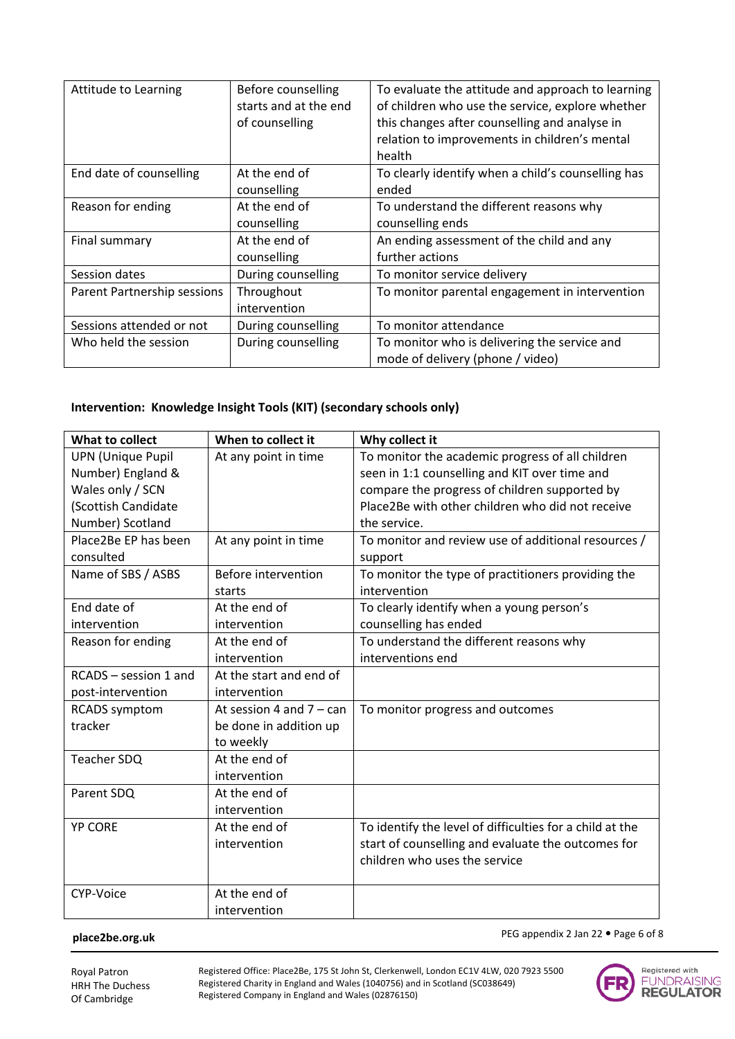| Attitude to Learning        | Before counselling<br>starts and at the end<br>of counselling | To evaluate the attitude and approach to learning<br>of children who use the service, explore whether<br>this changes after counselling and analyse in<br>relation to improvements in children's mental<br>health |
|-----------------------------|---------------------------------------------------------------|-------------------------------------------------------------------------------------------------------------------------------------------------------------------------------------------------------------------|
| End date of counselling     | At the end of<br>counselling                                  | To clearly identify when a child's counselling has<br>ended                                                                                                                                                       |
| Reason for ending           | At the end of<br>counselling                                  | To understand the different reasons why<br>counselling ends                                                                                                                                                       |
| Final summary               | At the end of<br>counselling                                  | An ending assessment of the child and any<br>further actions                                                                                                                                                      |
| Session dates               | During counselling                                            | To monitor service delivery                                                                                                                                                                                       |
| Parent Partnership sessions | Throughout<br>intervention                                    | To monitor parental engagement in intervention                                                                                                                                                                    |
| Sessions attended or not    | During counselling                                            | To monitor attendance                                                                                                                                                                                             |
| Who held the session        | During counselling                                            | To monitor who is delivering the service and<br>mode of delivery (phone / video)                                                                                                                                  |

# **Intervention: Knowledge Insight Tools (KIT) (secondary schools only)**

| What to collect          | When to collect it         | Why collect it                                           |
|--------------------------|----------------------------|----------------------------------------------------------|
| <b>UPN (Unique Pupil</b> | At any point in time       | To monitor the academic progress of all children         |
| Number) England &        |                            | seen in 1:1 counselling and KIT over time and            |
| Wales only / SCN         |                            | compare the progress of children supported by            |
| (Scottish Candidate      |                            | Place2Be with other children who did not receive         |
| Number) Scotland         |                            | the service.                                             |
| Place2Be EP has been     | At any point in time       | To monitor and review use of additional resources /      |
| consulted                |                            | support                                                  |
| Name of SBS / ASBS       | Before intervention        | To monitor the type of practitioners providing the       |
|                          | starts                     | intervention                                             |
| End date of              | At the end of              | To clearly identify when a young person's                |
| intervention             | intervention               | counselling has ended                                    |
| Reason for ending        | At the end of              | To understand the different reasons why                  |
|                          | intervention               | interventions end                                        |
| RCADS - session 1 and    | At the start and end of    |                                                          |
| post-intervention        | intervention               |                                                          |
| <b>RCADS</b> symptom     | At session 4 and $7 - can$ | To monitor progress and outcomes                         |
| tracker                  | be done in addition up     |                                                          |
|                          | to weekly                  |                                                          |
| Teacher SDQ              | At the end of              |                                                          |
|                          | intervention               |                                                          |
| Parent SDQ               | At the end of              |                                                          |
|                          | intervention               |                                                          |
| <b>YP CORE</b>           | At the end of              | To identify the level of difficulties for a child at the |
|                          | intervention               | start of counselling and evaluate the outcomes for       |
|                          |                            | children who uses the service                            |
|                          |                            |                                                          |
| CYP-Voice                | At the end of              |                                                          |
|                          | intervention               |                                                          |

#### **place2be.org.uk**

PEG appendix 2 Jan 22 · Page 6 of 8

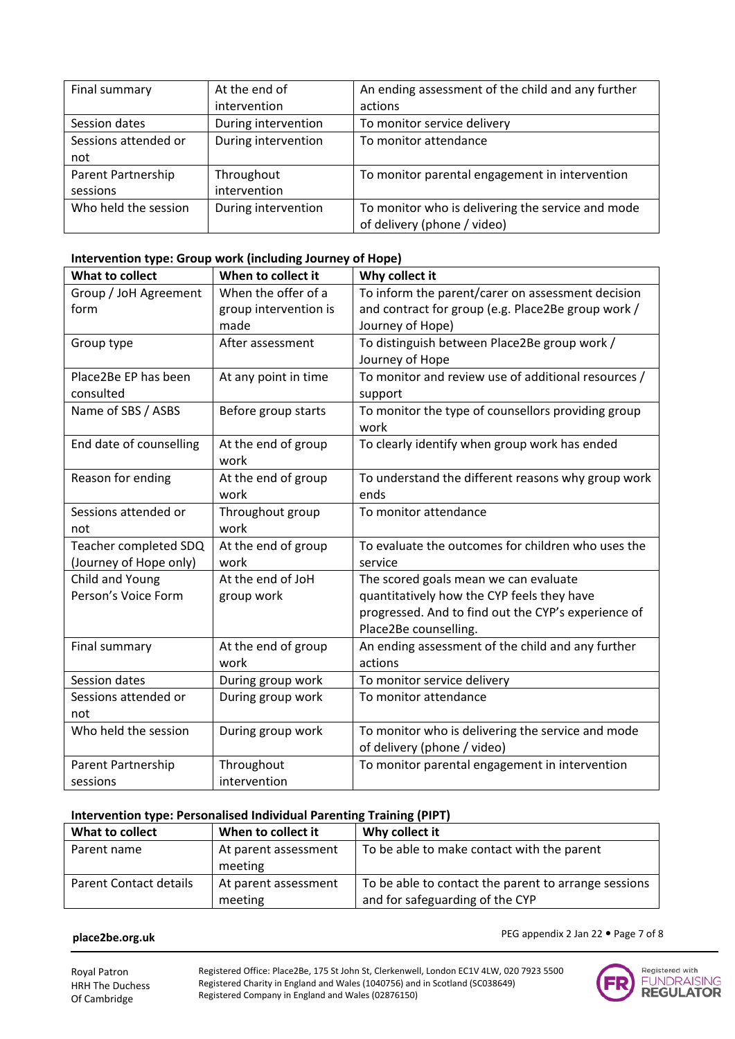| Final summary        | At the end of       | An ending assessment of the child and any further |
|----------------------|---------------------|---------------------------------------------------|
|                      | intervention        | actions                                           |
| Session dates        | During intervention | To monitor service delivery                       |
| Sessions attended or | During intervention | To monitor attendance                             |
| not                  |                     |                                                   |
| Parent Partnership   | Throughout          | To monitor parental engagement in intervention    |
| sessions             | intervention        |                                                   |
| Who held the session | During intervention | To monitor who is delivering the service and mode |
|                      |                     | of delivery (phone / video)                       |

### **Intervention type: Group work (including Journey of Hope)**

| What to collect         | When to collect it    | Why collect it                                      |
|-------------------------|-----------------------|-----------------------------------------------------|
| Group / JoH Agreement   | When the offer of a   | To inform the parent/carer on assessment decision   |
| form                    | group intervention is | and contract for group (e.g. Place2Be group work /  |
|                         | made                  | Journey of Hope)                                    |
| Group type              | After assessment      | To distinguish between Place2Be group work /        |
|                         |                       | Journey of Hope                                     |
| Place2Be EP has been    | At any point in time  | To monitor and review use of additional resources / |
| consulted               |                       | support                                             |
| Name of SBS / ASBS      | Before group starts   | To monitor the type of counsellors providing group  |
|                         |                       | work                                                |
| End date of counselling | At the end of group   | To clearly identify when group work has ended       |
|                         | work                  |                                                     |
| Reason for ending       | At the end of group   | To understand the different reasons why group work  |
|                         | work                  | ends                                                |
| Sessions attended or    | Throughout group      | To monitor attendance                               |
| not                     | work                  |                                                     |
| Teacher completed SDQ   | At the end of group   | To evaluate the outcomes for children who uses the  |
| (Journey of Hope only)  | work                  | service                                             |
| Child and Young         | At the end of JoH     | The scored goals mean we can evaluate               |
| Person's Voice Form     | group work            | quantitatively how the CYP feels they have          |
|                         |                       | progressed. And to find out the CYP's experience of |
|                         |                       | Place2Be counselling.                               |
| Final summary           | At the end of group   | An ending assessment of the child and any further   |
|                         | work                  | actions                                             |
| Session dates           | During group work     | To monitor service delivery                         |
| Sessions attended or    | During group work     | To monitor attendance                               |
| not                     |                       |                                                     |
| Who held the session    | During group work     | To monitor who is delivering the service and mode   |
|                         |                       | of delivery (phone / video)                         |
| Parent Partnership      | Throughout            | To monitor parental engagement in intervention      |
| sessions                | intervention          |                                                     |

### **Intervention type: Personalised Individual Parenting Training (PIPT)**

| What to collect               | When to collect it              | Why collect it                                                                          |
|-------------------------------|---------------------------------|-----------------------------------------------------------------------------------------|
| Parent name                   | At parent assessment<br>meeting | To be able to make contact with the parent                                              |
| <b>Parent Contact details</b> | At parent assessment<br>meeting | To be able to contact the parent to arrange sessions<br>and for safeguarding of the CYP |

### **place2be.org.uk**

PEG appendix 2 Jan 22 • Page 7 of 8